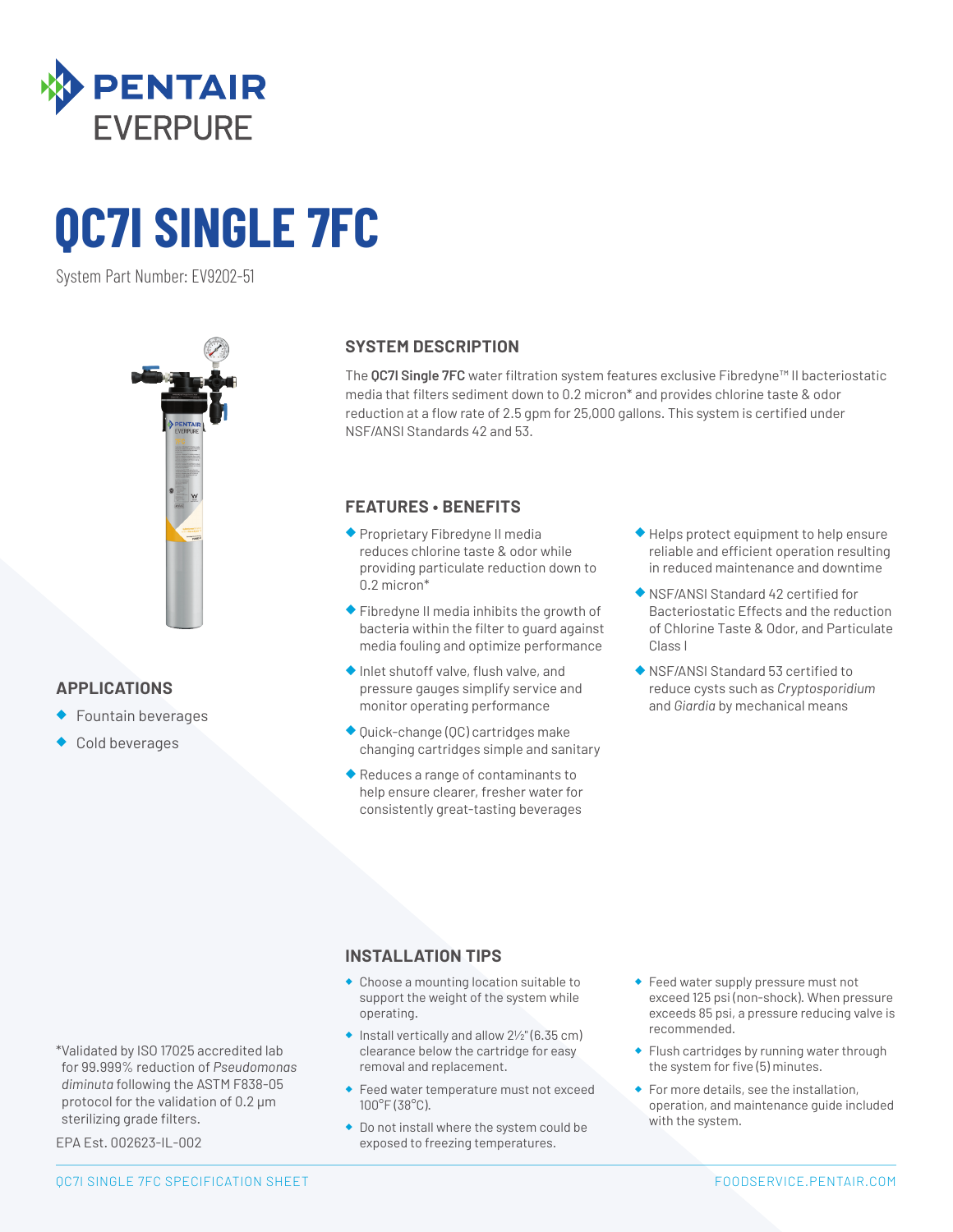

# **QC7I SINGLE 7FC**

System Part Number: EV9202-51



## **APPLICATIONS**

- ◆ Fountain beverages
- Cold beverages

### **SYSTEM DESCRIPTION**

The **QC7I Single 7FC** water filtration system features exclusive Fibredyne™ II bacteriostatic media that filters sediment down to 0.2 micron\* and provides chlorine taste & odor reduction at a flow rate of 2.5 gpm for 25,000 gallons. This system is certified under NSF/ANSI Standards 42 and 53.

### **FEATURES • BENEFITS**

- ◆ Proprietary Fibredyne II media reduces chlorine taste & odor while providing particulate reduction down to 0.2 micron\*
- ◆ Fibredyne II media inhibits the growth of bacteria within the filter to guard against media fouling and optimize performance
- ◆ Inlet shutoff valve, flush valve, and pressure gauges simplify service and monitor operating performance
- ◆ Quick-change (QC) cartridges make changing cartridges simple and sanitary
- ◆ Reduces a range of contaminants to help ensure clearer, fresher water for consistently great-tasting beverages
- ◆ Helps protect equipment to help ensure reliable and efficient operation resulting in reduced maintenance and downtime
- ◆ NSF/ANSI Standard 42 certified for Bacteriostatic Effects and the reduction of Chlorine Taste & Odor, and Particulate Class I
- ◆ NSF/ANSI Standard 53 certified to reduce cysts such as *Cryptosporidium*  and *Giardia* by mechanical means

### **INSTALLATION TIPS**

- ◆ Choose a mounting location suitable to support the weight of the system while operating.
- $\bullet$  Install vertically and allow  $2\frac{1}{2}$ " (6.35 cm) clearance below the cartridge for easy removal and replacement.
- ◆ Feed water temperature must not exceed 100°F (38°C).
- ◆ Do not install where the system could be exposed to freezing temperatures.
- ◆ Feed water supply pressure must not exceed 125 psi (non-shock). When pressure exceeds 85 psi, a pressure reducing valve is recommended.
- ◆ Flush cartridges by running water through the system for five (5) minutes.
- ◆ For more details, see the installation, operation, and maintenance guide included with the system.

sterilizing grade filters. EPA Est. 002623-IL-002

\*Validated by ISO 17025 accredited lab for 99.999% reduction of *Pseudomonas diminuta* following the ASTM F838-05 protocol for the validation of 0.2 µm